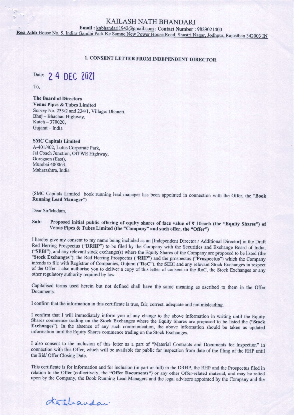## KAILASH NATH BHANDARI

Email: knbhandari1942@gmail.com; Contact Number: 9829021400

Resi Add: House No. 5, Indira Gandhi Park Ke Samne New Power House Road, Shastri Nagar, Jodhpur, Rajasthan 342003 IN

## **1. CONSENT LETTER FROM INDEPENDENT DIRECTOR**

Date: 2 4 DEC 2021

To.

**The Board of Directors Venus Pipes & Tubes Limited** Survey No. 233/2 and 234/1, Village: Dhaneti, Bhuj - Bhachau Highway, Kutch-370020, Gujarat - India

### **SMC Capitals Limited**

A-401/402, Lotus Corporate Park. Jai Coach Junction, Off WE Highway, Goregaon (East), Mumbai 400063, Maharashtra, India

(SMC Capitals Limited book running lead manager has been appointed in connection with the Offer, the "Book **Running Lead Manager")** 

Dear Sir/Madam.

#### Sub: Proposed initial public offering of equity shares of face value of ₹ 10each (the "Equity Shares") of Venus Pipes & Tubes Limited (the "Company" and such offer, the "Offer")

I hereby give my consent to my name being included as an [Independent Director / Additional Director] in the Draft Red Herring Prospectus ("DRHP") to be filed by the Company with the Securities and Exchange Board of India, ("SEBI"), and any relevant stock exchange(s) where the Equity Shares of the Company are proposed to be listed (the "Stock Exchanges"), the Red Herring Prospectus ("RHP") and the prospectus ("Prospectus") which the Company intends to file with Registrar of Companies, Gujarat ("RoC"), the SEBI and any relevant Stock Exchanges in respect of the Offer. I also authorise you to deliver a copy of this letter of consent to the RoC, the Stock Exchanges or any other regulatory authority required by law.

Capitalised terms used herein but not defined shall have the same meaning as ascribed to them in the Offer Documents.

I confirm that the information in this certificate is true, fair, correct, adequate and not misleading.

I confirm that I will immediately inform you of any change to the above information in writing until the Equity Shares commence trading on the Stock Exchanges where the Equity Shares are proposed to be listed the ("Stock Exchanges"). In the absence of any such communication, the above information should be taken as updated information until the Equity Shares commence trading on the Stock Exchanges.

I also consent to the inclusion of this letter as a part of "Material Contracts and Documents for Inspection" in connection with this Offer, which will be available for public for inspection from date of the filing of the RHP until the Bid/ Offer Closing Date.

This certificate is for information and for inclusion (in part or full) in the DRHP, the RHP and the Prospectus filed in relation to the Offer (collectively, the "Offer Documents") or any other Offer-related material, and may be relied upon by the Company, the Book Running Lead Managers and the legal advisors appointed by the Company and the

dethandar.